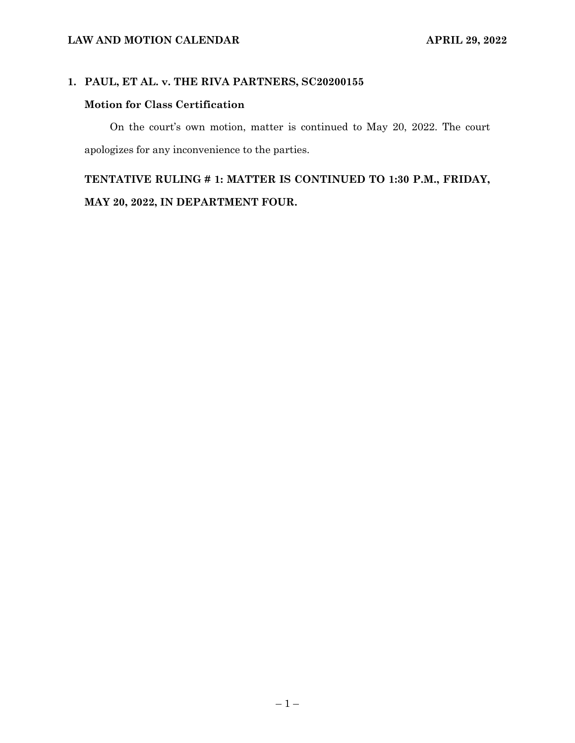### **1. PAUL, ET AL. v. THE RIVA PARTNERS, SC20200155**

### **Motion for Class Certification**

On the court's own motion, matter is continued to May 20, 2022. The court apologizes for any inconvenience to the parties.

## **TENTATIVE RULING # 1: MATTER IS CONTINUED TO 1:30 P.M., FRIDAY, MAY 20, 2022, IN DEPARTMENT FOUR.**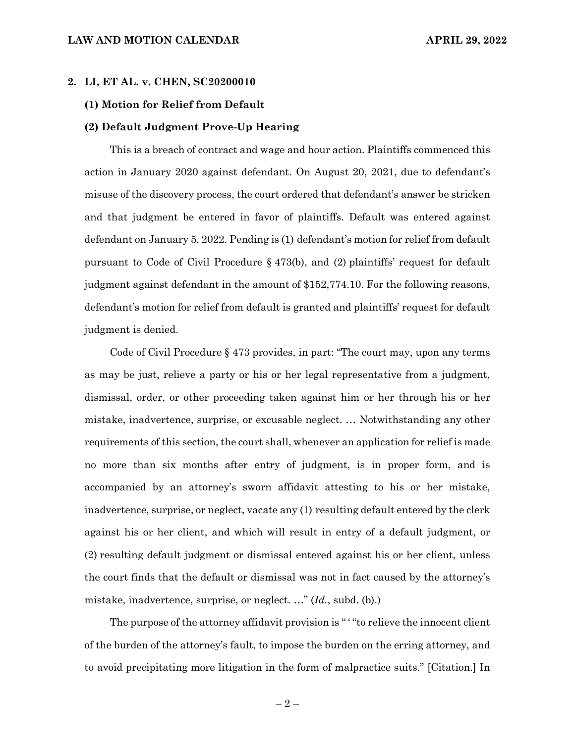#### **2. LI, ET AL. v. CHEN, SC20200010**

#### **(1) Motion for Relief from Default**

#### **(2) Default Judgment Prove-Up Hearing**

This is a breach of contract and wage and hour action. Plaintiffs commenced this action in January 2020 against defendant. On August 20, 2021, due to defendant's misuse of the discovery process, the court ordered that defendant's answer be stricken and that judgment be entered in favor of plaintiffs. Default was entered against defendant on January 5, 2022. Pending is (1) defendant's motion for relief from default pursuant to Code of Civil Procedure § 473(b), and (2) plaintiffs' request for default judgment against defendant in the amount of \$152,774.10. For the following reasons, defendant's motion for relief from default is granted and plaintiffs' request for default judgment is denied.

Code of Civil Procedure § 473 provides, in part: "The court may, upon any terms as may be just, relieve a party or his or her legal representative from a judgment, dismissal, order, or other proceeding taken against him or her through his or her mistake, inadvertence, surprise, or excusable neglect. … Notwithstanding any other requirements of this section, the court shall, whenever an application for relief is made no more than six months after entry of judgment, is in proper form, and is accompanied by an attorney's sworn affidavit attesting to his or her mistake, inadvertence, surprise, or neglect, vacate any (1) resulting default entered by the clerk against his or her client, and which will result in entry of a default judgment, or (2) resulting default judgment or dismissal entered against his or her client, unless the court finds that the default or dismissal was not in fact caused by the attorney's mistake, inadvertence, surprise, or neglect. …" (*Id.*, subd. (b).)

The purpose of the attorney affidavit provision is "" "to relieve the innocent client of the burden of the attorney's fault, to impose the burden on the erring attorney, and to avoid precipitating more litigation in the form of malpractice suits." [Citation.] In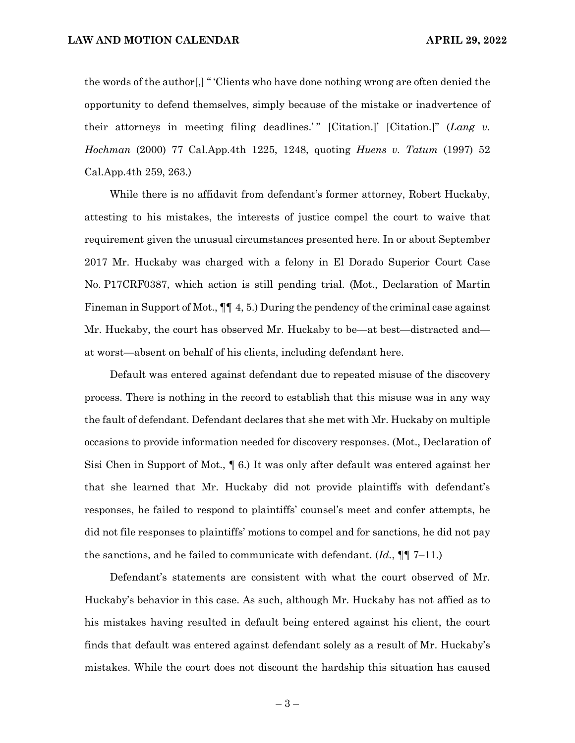the words of the author[,] " 'Clients who have done nothing wrong are often denied the opportunity to defend themselves, simply because of the mistake or inadvertence of their attorneys in meeting filing deadlines.'" [Citation.]' [Citation.]" (*Lang v. Hochman* (2000) 77 Cal.App.4th 1225, 1248, quoting *Huens v. Tatum* (1997) 52 Cal.App.4th 259, 263.)

While there is no affidavit from defendant's former attorney, Robert Huckaby, attesting to his mistakes, the interests of justice compel the court to waive that requirement given the unusual circumstances presented here. In or about September 2017 Mr. Huckaby was charged with a felony in El Dorado Superior Court Case No. P17CRF0387, which action is still pending trial. (Mot., Declaration of Martin Fineman in Support of Mot.,  $\P\P$  4, 5.) During the pendency of the criminal case against Mr. Huckaby, the court has observed Mr. Huckaby to be—at best—distracted and at worst—absent on behalf of his clients, including defendant here.

Default was entered against defendant due to repeated misuse of the discovery process. There is nothing in the record to establish that this misuse was in any way the fault of defendant. Defendant declares that she met with Mr. Huckaby on multiple occasions to provide information needed for discovery responses. (Mot., Declaration of Sisi Chen in Support of Mot., ¶ 6.) It was only after default was entered against her that she learned that Mr. Huckaby did not provide plaintiffs with defendant's responses, he failed to respond to plaintiffs' counsel's meet and confer attempts, he did not file responses to plaintiffs' motions to compel and for sanctions, he did not pay the sanctions, and he failed to communicate with defendant. (*Id.*, ¶¶ 7–11.)

Defendant's statements are consistent with what the court observed of Mr. Huckaby's behavior in this case. As such, although Mr. Huckaby has not affied as to his mistakes having resulted in default being entered against his client, the court finds that default was entered against defendant solely as a result of Mr. Huckaby's mistakes. While the court does not discount the hardship this situation has caused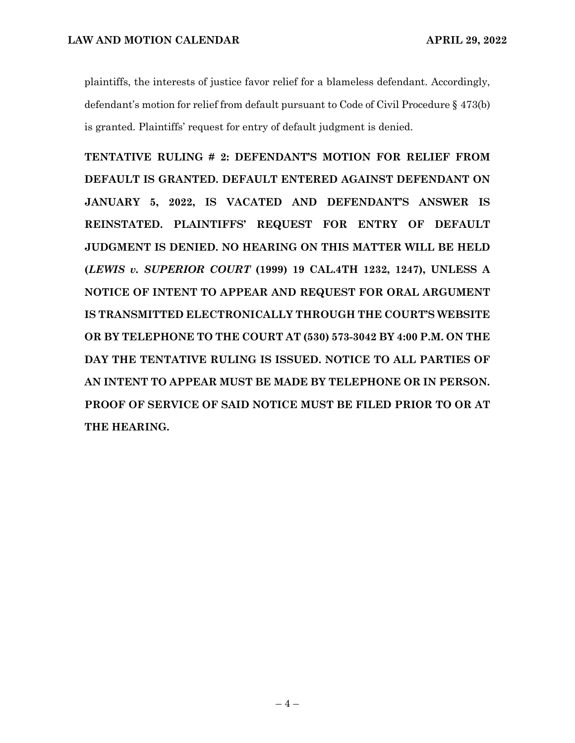plaintiffs, the interests of justice favor relief for a blameless defendant. Accordingly, defendant's motion for relief from default pursuant to Code of Civil Procedure § 473(b) is granted. Plaintiffs' request for entry of default judgment is denied.

**TENTATIVE RULING # 2: DEFENDANT'S MOTION FOR RELIEF FROM DEFAULT IS GRANTED. DEFAULT ENTERED AGAINST DEFENDANT ON JANUARY 5, 2022, IS VACATED AND DEFENDANT'S ANSWER IS REINSTATED. PLAINTIFFS' REQUEST FOR ENTRY OF DEFAULT JUDGMENT IS DENIED. NO HEARING ON THIS MATTER WILL BE HELD (***LEWIS v. SUPERIOR COURT* **(1999) 19 CAL.4TH 1232, 1247), UNLESS A NOTICE OF INTENT TO APPEAR AND REQUEST FOR ORAL ARGUMENT IS TRANSMITTED ELECTRONICALLY THROUGH THE COURT'S WEBSITE OR BY TELEPHONE TO THE COURT AT (530) 573-3042 BY 4:00 P.M. ON THE DAY THE TENTATIVE RULING IS ISSUED. NOTICE TO ALL PARTIES OF AN INTENT TO APPEAR MUST BE MADE BY TELEPHONE OR IN PERSON. PROOF OF SERVICE OF SAID NOTICE MUST BE FILED PRIOR TO OR AT THE HEARING.**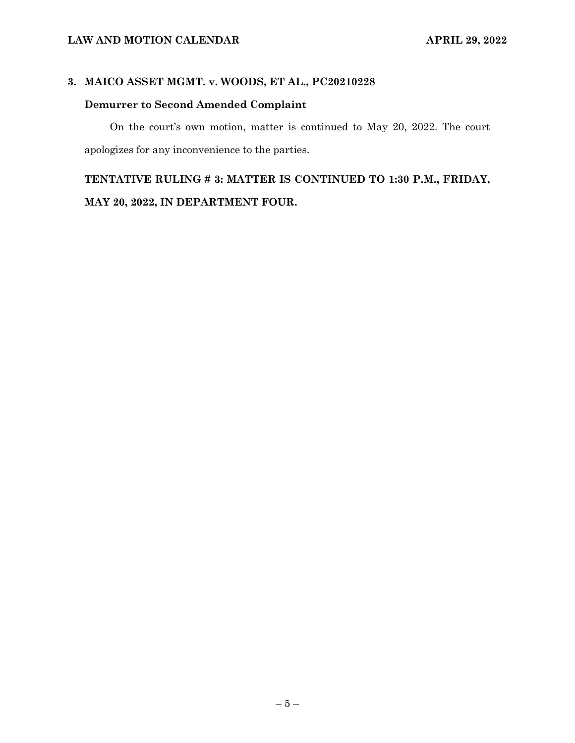### **3. MAICO ASSET MGMT. v. WOODS, ET AL., PC20210228**

## **Demurrer to Second Amended Complaint**

On the court's own motion, matter is continued to May 20, 2022. The court apologizes for any inconvenience to the parties.

## **TENTATIVE RULING # 3: MATTER IS CONTINUED TO 1:30 P.M., FRIDAY, MAY 20, 2022, IN DEPARTMENT FOUR.**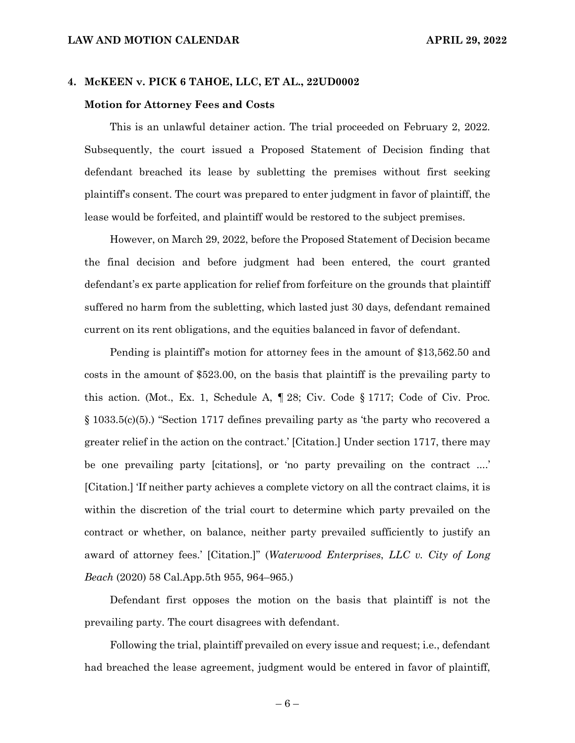#### **4. McKEEN v. PICK 6 TAHOE, LLC, ET AL., 22UD0002**

#### **Motion for Attorney Fees and Costs**

This is an unlawful detainer action. The trial proceeded on February 2, 2022. Subsequently, the court issued a Proposed Statement of Decision finding that defendant breached its lease by subletting the premises without first seeking plaintiff's consent. The court was prepared to enter judgment in favor of plaintiff, the lease would be forfeited, and plaintiff would be restored to the subject premises.

However, on March 29, 2022, before the Proposed Statement of Decision became the final decision and before judgment had been entered, the court granted defendant's ex parte application for relief from forfeiture on the grounds that plaintiff suffered no harm from the subletting, which lasted just 30 days, defendant remained current on its rent obligations, and the equities balanced in favor of defendant.

Pending is plaintiff's motion for attorney fees in the amount of \$13,562.50 and costs in the amount of \$523.00, on the basis that plaintiff is the prevailing party to this action. (Mot., Ex. 1, Schedule A, ¶ 28; Civ. Code § 1717; Code of Civ. Proc. § 1033.5(c)(5).) "Section 1717 defines prevailing party as 'the party who recovered a greater relief in the action on the contract.' [Citation.] Under section 1717, there may be one prevailing party [citations], or 'no party prevailing on the contract ....' [Citation.] 'If neither party achieves a complete victory on all the contract claims, it is within the discretion of the trial court to determine which party prevailed on the contract or whether, on balance, neither party prevailed sufficiently to justify an award of attorney fees.' [Citation.]" (*Waterwood Enterprises*, *LLC v. City of Long Beach* (2020) 58 Cal.App.5th 955, 964–965.)

Defendant first opposes the motion on the basis that plaintiff is not the prevailing party. The court disagrees with defendant.

Following the trial, plaintiff prevailed on every issue and request; i.e., defendant had breached the lease agreement, judgment would be entered in favor of plaintiff,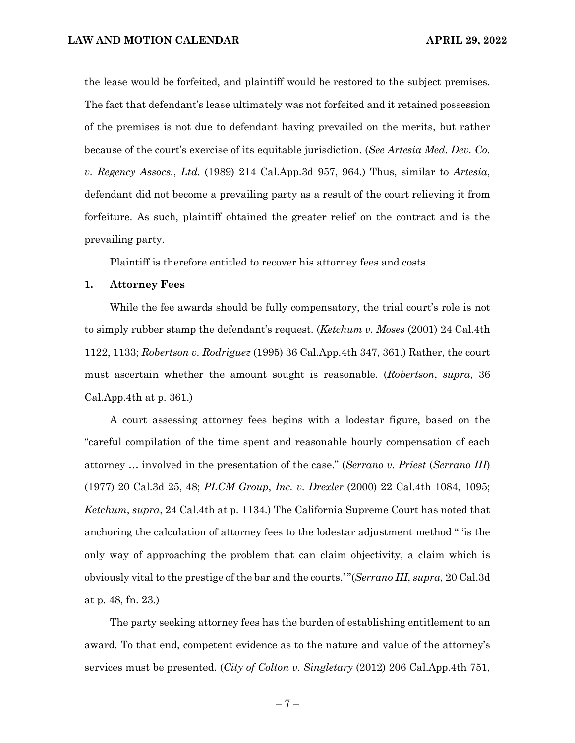the lease would be forfeited, and plaintiff would be restored to the subject premises. The fact that defendant's lease ultimately was not forfeited and it retained possession of the premises is not due to defendant having prevailed on the merits, but rather because of the court's exercise of its equitable jurisdiction. (*See Artesia Med. Dev. Co. v. Regency Assocs.*, *Ltd.* (1989) 214 Cal.App.3d 957, 964.) Thus, similar to *Artesia*, defendant did not become a prevailing party as a result of the court relieving it from forfeiture. As such, plaintiff obtained the greater relief on the contract and is the prevailing party.

Plaintiff is therefore entitled to recover his attorney fees and costs.

#### **1. Attorney Fees**

While the fee awards should be fully compensatory, the trial court's role is not to simply rubber stamp the defendant's request. (*Ketchum v. Moses* (2001) 24 Cal.4th 1122, 1133; *Robertson v. Rodriguez* (1995) 36 Cal.App.4th 347, 361.) Rather, the court must ascertain whether the amount sought is reasonable. (*Robertson*, *supra*, 36 Cal.App.4th at p. 361.)

A court assessing attorney fees begins with a lodestar figure, based on the "careful compilation of the time spent and reasonable hourly compensation of each attorney … involved in the presentation of the case." (*Serrano v. Priest* (*Serrano III*) (1977) 20 Cal.3d 25, 48; *PLCM Group*, *Inc. v. Drexler* (2000) 22 Cal.4th 1084, 1095; *Ketchum*, *supra*, 24 Cal.4th at p. 1134.) The California Supreme Court has noted that anchoring the calculation of attorney fees to the lodestar adjustment method " 'is the only way of approaching the problem that can claim objectivity, a claim which is obviously vital to the prestige of the bar and the courts.' "(*Serrano III*, *supra*, 20 Cal.3d at p. 48, fn. 23.)

The party seeking attorney fees has the burden of establishing entitlement to an award. To that end, competent evidence as to the nature and value of the attorney's services must be presented. (*City of Colton v. Singletary* (2012) 206 Cal.App.4th 751,

 $-7-$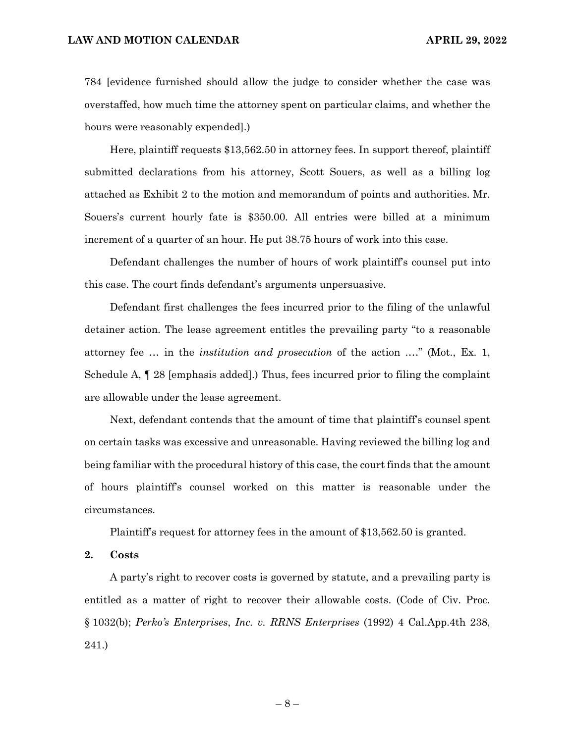784 [evidence furnished should allow the judge to consider whether the case was overstaffed, how much time the attorney spent on particular claims, and whether the hours were reasonably expended].)

Here, plaintiff requests \$13,562.50 in attorney fees. In support thereof, plaintiff submitted declarations from his attorney, Scott Souers, as well as a billing log attached as Exhibit 2 to the motion and memorandum of points and authorities. Mr. Souers's current hourly fate is \$350.00. All entries were billed at a minimum increment of a quarter of an hour. He put 38.75 hours of work into this case.

Defendant challenges the number of hours of work plaintiff's counsel put into this case. The court finds defendant's arguments unpersuasive.

Defendant first challenges the fees incurred prior to the filing of the unlawful detainer action. The lease agreement entitles the prevailing party "to a reasonable attorney fee … in the *institution and prosecution* of the action .…" (Mot., Ex. 1, Schedule A, ¶ 28 [emphasis added].) Thus, fees incurred prior to filing the complaint are allowable under the lease agreement.

Next, defendant contends that the amount of time that plaintiff's counsel spent on certain tasks was excessive and unreasonable. Having reviewed the billing log and being familiar with the procedural history of this case, the court finds that the amount of hours plaintiff's counsel worked on this matter is reasonable under the circumstances.

Plaintiff's request for attorney fees in the amount of \$13,562.50 is granted.

**2. Costs**

A party's right to recover costs is governed by statute, and a prevailing party is entitled as a matter of right to recover their allowable costs. (Code of Civ. Proc. § 1032(b); *Perko's Enterprises*, *Inc. v. RRNS Enterprises* (1992) 4 Cal.App.4th 238, 241.)

– 8 –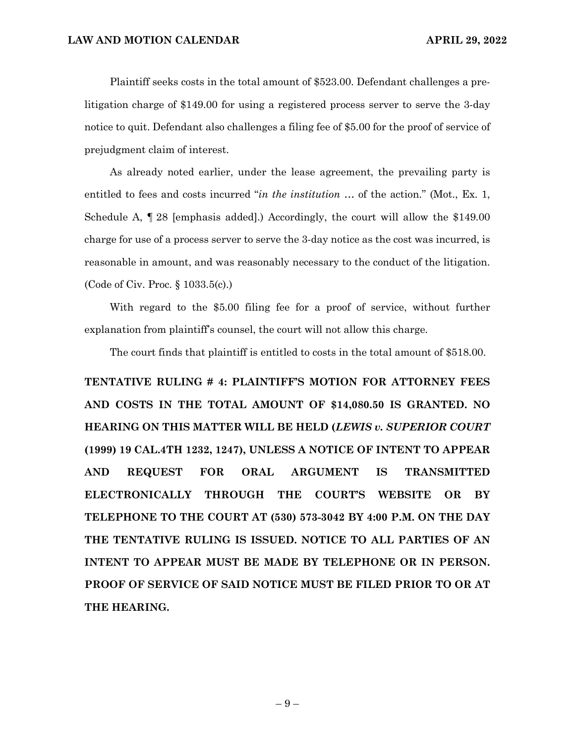Plaintiff seeks costs in the total amount of \$523.00. Defendant challenges a prelitigation charge of \$149.00 for using a registered process server to serve the 3-day notice to quit. Defendant also challenges a filing fee of \$5.00 for the proof of service of prejudgment claim of interest.

As already noted earlier, under the lease agreement, the prevailing party is entitled to fees and costs incurred "*in the institution* … of the action." (Mot., Ex. 1, Schedule A, ¶ 28 [emphasis added].) Accordingly, the court will allow the \$149.00 charge for use of a process server to serve the 3-day notice as the cost was incurred, is reasonable in amount, and was reasonably necessary to the conduct of the litigation. (Code of Civ. Proc. § 1033.5(c).)

With regard to the \$5.00 filing fee for a proof of service, without further explanation from plaintiff's counsel, the court will not allow this charge.

The court finds that plaintiff is entitled to costs in the total amount of \$518.00.

**TENTATIVE RULING # 4: PLAINTIFF'S MOTION FOR ATTORNEY FEES AND COSTS IN THE TOTAL AMOUNT OF \$14,080.50 IS GRANTED. NO HEARING ON THIS MATTER WILL BE HELD (***LEWIS v. SUPERIOR COURT* **(1999) 19 CAL.4TH 1232, 1247), UNLESS A NOTICE OF INTENT TO APPEAR AND REQUEST FOR ORAL ARGUMENT IS TRANSMITTED ELECTRONICALLY THROUGH THE COURT'S WEBSITE OR BY TELEPHONE TO THE COURT AT (530) 573-3042 BY 4:00 P.M. ON THE DAY THE TENTATIVE RULING IS ISSUED. NOTICE TO ALL PARTIES OF AN INTENT TO APPEAR MUST BE MADE BY TELEPHONE OR IN PERSON. PROOF OF SERVICE OF SAID NOTICE MUST BE FILED PRIOR TO OR AT THE HEARING.**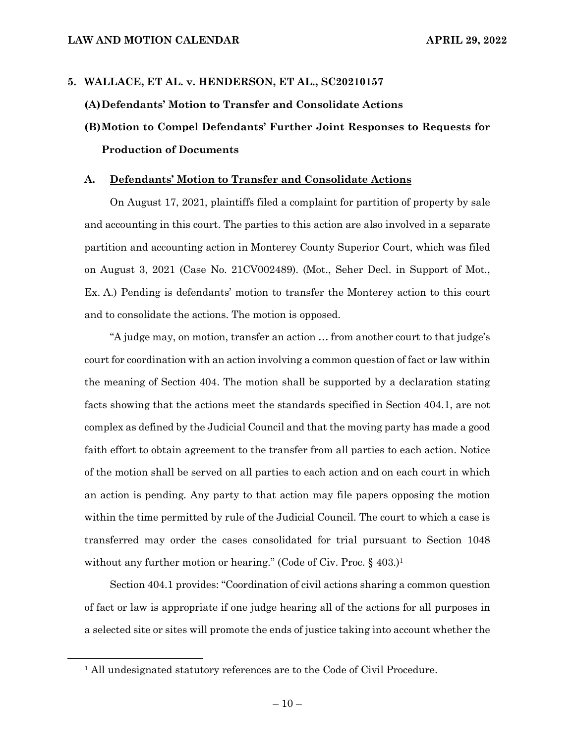# **5. WALLACE, ET AL. v. HENDERSON, ET AL., SC20210157 (A)Defendants' Motion to Transfer and Consolidate Actions (B)Motion to Compel Defendants' Further Joint Responses to Requests for Production of Documents**

#### **A. Defendants' Motion to Transfer and Consolidate Actions**

On August 17, 2021, plaintiffs filed a complaint for partition of property by sale and accounting in this court. The parties to this action are also involved in a separate partition and accounting action in Monterey County Superior Court, which was filed on August 3, 2021 (Case No. 21CV002489). (Mot., Seher Decl. in Support of Mot., Ex. A.) Pending is defendants' motion to transfer the Monterey action to this court and to consolidate the actions. The motion is opposed.

"A judge may, on motion, transfer an action … from another court to that judge's court for coordination with an action involving a common question of fact or law within the meaning of Section 404. The motion shall be supported by a declaration stating facts showing that the actions meet the standards specified in Section 404.1, are not complex as defined by the Judicial Council and that the moving party has made a good faith effort to obtain agreement to the transfer from all parties to each action. Notice of the motion shall be served on all parties to each action and on each court in which an action is pending. Any party to that action may file papers opposing the motion within the time permitted by rule of the Judicial Council. The court to which a case is transferred may order the cases consolidated for trial pursuant to Section 1048 without any further motion or hearing." (Code of Civ. Proc. § 403.)<sup>1</sup>

Section 404.1 provides: "Coordination of civil actions sharing a common question of fact or law is appropriate if one judge hearing all of the actions for all purposes in a selected site or sites will promote the ends of justice taking into account whether the

<sup>&</sup>lt;sup>1</sup> All undesignated statutory references are to the Code of Civil Procedure.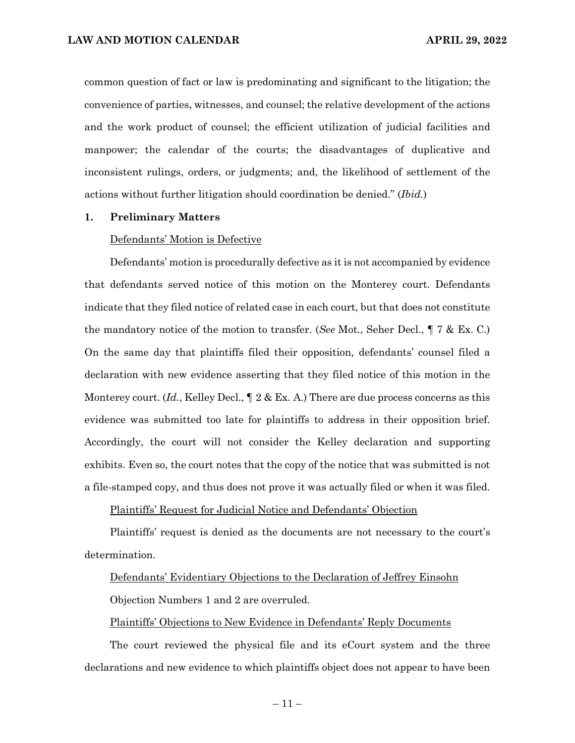common question of fact or law is predominating and significant to the litigation; the convenience of parties, witnesses, and counsel; the relative development of the actions and the work product of counsel; the efficient utilization of judicial facilities and manpower; the calendar of the courts; the disadvantages of duplicative and inconsistent rulings, orders, or judgments; and, the likelihood of settlement of the actions without further litigation should coordination be denied." (*Ibid.*)

#### **1. Preliminary Matters**

#### Defendants' Motion is Defective

Defendants' motion is procedurally defective as it is not accompanied by evidence that defendants served notice of this motion on the Monterey court. Defendants indicate that they filed notice of related case in each court, but that does not constitute the mandatory notice of the motion to transfer. (*See* Mot., Seher Decl., ¶ 7 & Ex. C.) On the same day that plaintiffs filed their opposition, defendants' counsel filed a declaration with new evidence asserting that they filed notice of this motion in the Monterey court. (*Id.*, Kelley Decl.,  $\P$  2 & Ex. A.) There are due process concerns as this evidence was submitted too late for plaintiffs to address in their opposition brief. Accordingly, the court will not consider the Kelley declaration and supporting exhibits. Even so, the court notes that the copy of the notice that was submitted is not a file-stamped copy, and thus does not prove it was actually filed or when it was filed.

Plaintiffs' Request for Judicial Notice and Defendants' Objection

Plaintiffs' request is denied as the documents are not necessary to the court's determination.

#### Defendants' Evidentiary Objections to the Declaration of Jeffrey Einsohn

Objection Numbers 1 and 2 are overruled.

#### Plaintiffs' Objections to New Evidence in Defendants' Reply Documents

The court reviewed the physical file and its eCourt system and the three declarations and new evidence to which plaintiffs object does not appear to have been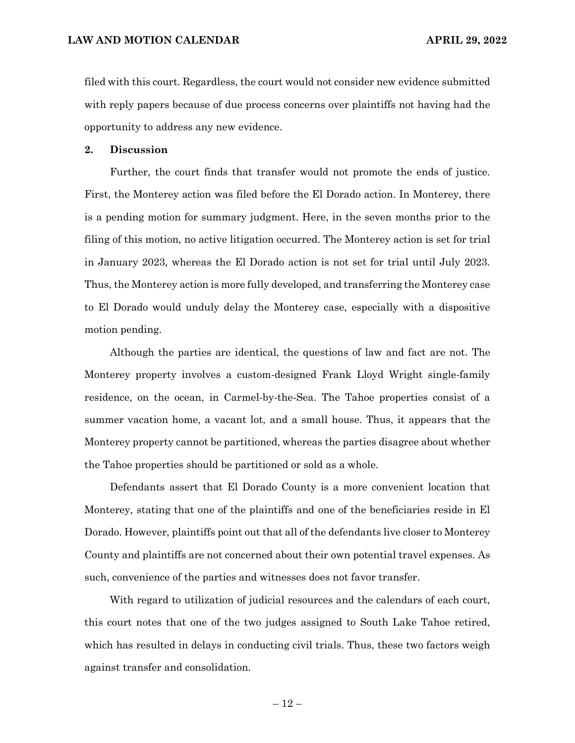filed with this court. Regardless, the court would not consider new evidence submitted with reply papers because of due process concerns over plaintiffs not having had the opportunity to address any new evidence.

#### **2. Discussion**

Further, the court finds that transfer would not promote the ends of justice. First, the Monterey action was filed before the El Dorado action. In Monterey, there is a pending motion for summary judgment. Here, in the seven months prior to the filing of this motion, no active litigation occurred. The Monterey action is set for trial in January 2023, whereas the El Dorado action is not set for trial until July 2023. Thus, the Monterey action is more fully developed, and transferring the Monterey case to El Dorado would unduly delay the Monterey case, especially with a dispositive motion pending.

Although the parties are identical, the questions of law and fact are not. The Monterey property involves a custom-designed Frank Lloyd Wright single-family residence, on the ocean, in Carmel-by-the-Sea. The Tahoe properties consist of a summer vacation home, a vacant lot, and a small house. Thus, it appears that the Monterey property cannot be partitioned, whereas the parties disagree about whether the Tahoe properties should be partitioned or sold as a whole.

Defendants assert that El Dorado County is a more convenient location that Monterey, stating that one of the plaintiffs and one of the beneficiaries reside in El Dorado. However, plaintiffs point out that all of the defendants live closer to Monterey County and plaintiffs are not concerned about their own potential travel expenses. As such, convenience of the parties and witnesses does not favor transfer.

With regard to utilization of judicial resources and the calendars of each court, this court notes that one of the two judges assigned to South Lake Tahoe retired, which has resulted in delays in conducting civil trials. Thus, these two factors weigh against transfer and consolidation.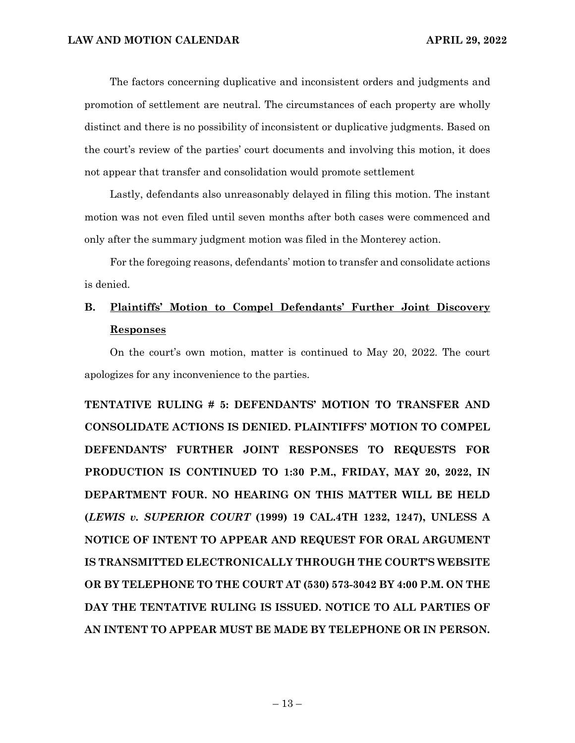The factors concerning duplicative and inconsistent orders and judgments and promotion of settlement are neutral. The circumstances of each property are wholly distinct and there is no possibility of inconsistent or duplicative judgments. Based on the court's review of the parties' court documents and involving this motion, it does not appear that transfer and consolidation would promote settlement

Lastly, defendants also unreasonably delayed in filing this motion. The instant motion was not even filed until seven months after both cases were commenced and only after the summary judgment motion was filed in the Monterey action.

For the foregoing reasons, defendants' motion to transfer and consolidate actions is denied.

## **B. Plaintiffs' Motion to Compel Defendants' Further Joint Discovery Responses**

On the court's own motion, matter is continued to May 20, 2022. The court apologizes for any inconvenience to the parties.

**TENTATIVE RULING # 5: DEFENDANTS' MOTION TO TRANSFER AND CONSOLIDATE ACTIONS IS DENIED. PLAINTIFFS' MOTION TO COMPEL DEFENDANTS' FURTHER JOINT RESPONSES TO REQUESTS FOR PRODUCTION IS CONTINUED TO 1:30 P.M., FRIDAY, MAY 20, 2022, IN DEPARTMENT FOUR. NO HEARING ON THIS MATTER WILL BE HELD (***LEWIS v. SUPERIOR COURT* **(1999) 19 CAL.4TH 1232, 1247), UNLESS A NOTICE OF INTENT TO APPEAR AND REQUEST FOR ORAL ARGUMENT IS TRANSMITTED ELECTRONICALLY THROUGH THE COURT'S WEBSITE OR BY TELEPHONE TO THE COURT AT (530) 573-3042 BY 4:00 P.M. ON THE DAY THE TENTATIVE RULING IS ISSUED. NOTICE TO ALL PARTIES OF AN INTENT TO APPEAR MUST BE MADE BY TELEPHONE OR IN PERSON.**